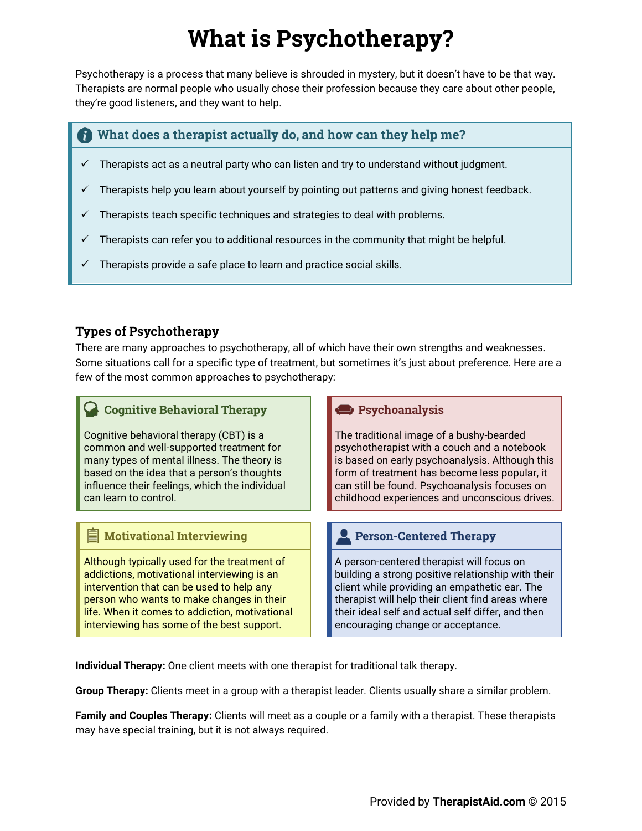# **What is Psychotherapy?**

Psychotherapy is a process that many believe is shrouded in mystery, but it doesn't have to be that way. Therapists are normal people who usually chose their profession because they care about other people. they're good listeners, and they want to help.

## What does a therapist actually do, and how can they help me?

- Therapists act as a neutral party who can listen and try to understand without judgment.  $\checkmark$
- Therapists help you learn about yourself by pointing out patterns and giving honest feedback.  $\checkmark$
- Therapists teach specific techniques and strategies to deal with problems.  $\checkmark$
- Therapists can refer you to additional resources in the community that might be helpful.  $\checkmark$
- Therapists provide a safe place to learn and practice social skills.

## **Types of Psychotherapy**

There are many approaches to psychotherapy, all of which have their own strengths and weaknesses. Some situations call for a specific type of treatment, but sometimes it's just about preference. Here are a few of the most common approaches to psychotherapy:

| <b>Cognitive Behavioral Therapy</b>                                                                                                                                                                                                                                                   | Psychoanalysis                                                                                                                                                                                                                                                                                  |
|---------------------------------------------------------------------------------------------------------------------------------------------------------------------------------------------------------------------------------------------------------------------------------------|-------------------------------------------------------------------------------------------------------------------------------------------------------------------------------------------------------------------------------------------------------------------------------------------------|
| Cognitive behavioral therapy (CBT) is a<br>common and well-supported treatment for<br>many types of mental illness. The theory is<br>based on the idea that a person's thoughts<br>influence their feelings, which the individual<br>can learn to control.                            | The traditional image of a bushy-bearded<br>psychotherapist with a couch and a notebook<br>is based on early psychoanalysis. Although this<br>form of treatment has become less popular, it<br>can still be found. Psychoanalysis focuses on<br>childhood experiences and unconscious drives.   |
|                                                                                                                                                                                                                                                                                       |                                                                                                                                                                                                                                                                                                 |
| <b>Motivational Interviewing</b><br>冒                                                                                                                                                                                                                                                 | Person-Centered Therapy                                                                                                                                                                                                                                                                         |
| Although typically used for the treatment of<br>addictions, motivational interviewing is an<br>intervention that can be used to help any<br>person who wants to make changes in their<br>life. When it comes to addiction, motivational<br>interviewing has some of the best support. | A person-centered therapist will focus on<br>building a strong positive relationship with their<br>client while providing an empathetic ear. The<br>therapist will help their client find areas where<br>their ideal self and actual self differ, and then<br>encouraging change or acceptance. |

Individual Therapy: One client meets with one therapist for traditional talk therapy.

Group Therapy: Clients meet in a group with a therapist leader. Clients usually share a similar problem.

Family and Couples Therapy: Clients will meet as a couple or a family with a therapist. These therapists may have special training, but it is not always required.